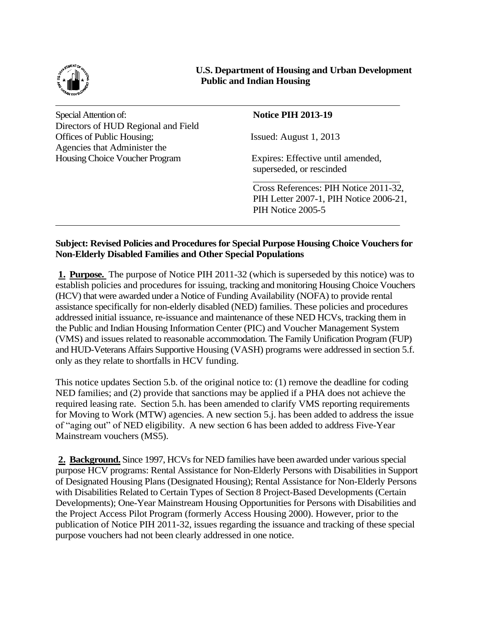

**U.S. Department of Housing and Urban Development Public and Indian Housing**

Special Attention of: **Notice PIH 2013-19** Directors of HUD Regional and Field Offices of Public Housing; Issued: August 1, 2013 Agencies that Administer the Housing Choice Voucher Program Expires: Effective until amended,

superseded, or rescinded

Cross References: PIH Notice 2011-32, PIH Letter 2007-1, PIH Notice 2006-21, PIH Notice 2005-5

## **Subject: Revised Policies and Procedures for Special Purpose Housing Choice Vouchers for Non-Elderly Disabled Families and Other Special Populations**

**1. Purpose.** The purpose of Notice PIH 2011-32 (which is superseded by this notice) was to establish policies and procedures for issuing, tracking and monitoring Housing Choice Vouchers (HCV) that were awarded under a Notice of Funding Availability (NOFA) to provide rental assistance specifically for non-elderly disabled (NED) families. These policies and procedures addressed initial issuance, re-issuance and maintenance of these NED HCVs, tracking them in the Public and Indian Housing Information Center (PIC) and Voucher Management System (VMS) and issues related to reasonable accommodation. The Family Unification Program (FUP) and HUD-Veterans Affairs Supportive Housing (VASH) programs were addressed in section 5.f. only as they relate to shortfalls in HCV funding.

This notice updates Section 5.b. of the original notice to: (1) remove the deadline for coding NED families; and (2) provide that sanctions may be applied if a PHA does not achieve the required leasing rate. Section 5.h. has been amended to clarify VMS reporting requirements for Moving to Work (MTW) agencies. A new section 5.j. has been added to address the issue of "aging out" of NED eligibility. A new section 6 has been added to address Five-Year Mainstream vouchers (MS5).

**2. Background.** Since 1997, HCVs for NED families have been awarded under various special purpose HCV programs: Rental Assistance for Non-Elderly Persons with Disabilities in Support of Designated Housing Plans (Designated Housing); Rental Assistance for Non-Elderly Persons with Disabilities Related to Certain Types of Section 8 Project-Based Developments (Certain Developments); One-Year Mainstream Housing Opportunities for Persons with Disabilities and the Project Access Pilot Program (formerly Access Housing 2000). However, prior to the publication of Notice PIH 2011-32, issues regarding the issuance and tracking of these special purpose vouchers had not been clearly addressed in one notice.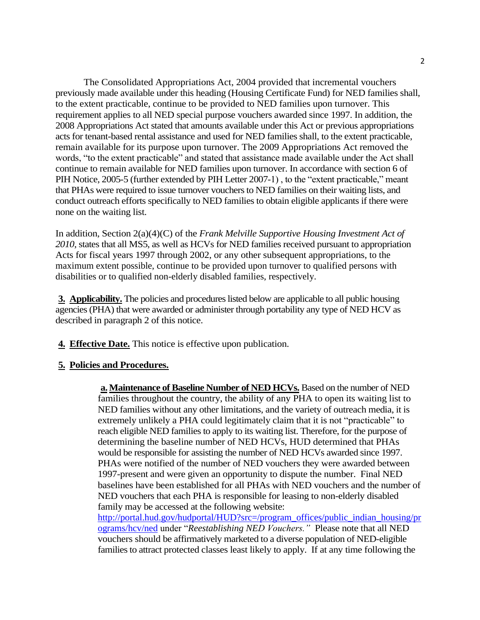The Consolidated Appropriations Act, 2004 provided that incremental vouchers previously made available under this heading (Housing Certificate Fund) for NED families shall, to the extent practicable, continue to be provided to NED families upon turnover. This requirement applies to all NED special purpose vouchers awarded since 1997. In addition, the 2008 Appropriations Act stated that amounts available under this Act or previous appropriations acts for tenant-based rental assistance and used for NED families shall, to the extent practicable, remain available for its purpose upon turnover. The 2009 Appropriations Act removed the words, "to the extent practicable" and stated that assistance made available under the Act shall continue to remain available for NED families upon turnover. In accordance with section 6 of PIH Notice, 2005-5 (further extended by PIH Letter 2007-1) , to the "extent practicable," meant that PHAs were required to issue turnover vouchers to NED families on their waiting lists, and conduct outreach efforts specifically to NED families to obtain eligible applicants if there were none on the waiting list.

In addition, Section 2(a)(4)(C) of the *Frank Melville Supportive Housing Investment Act of 2010*, states that all MS5, as well as HCVs for NED families received pursuant to appropriation Acts for fiscal years 1997 through 2002, or any other subsequent appropriations, to the maximum extent possible, continue to be provided upon turnover to qualified persons with disabilities or to qualified non-elderly disabled families, respectively.

**3. Applicability.** The policies and procedures listed below are applicable to all public housing agencies (PHA) that were awarded or administer through portability any type of NED HCV as described in paragraph 2 of this notice.

**4. Effective Date.** This notice is effective upon publication.

## **5. Policies and Procedures.**

**a.Maintenance of Baseline Number of NED HCVs.** Based on the number of NED families throughout the country, the ability of any PHA to open its waiting list to NED families without any other limitations, and the variety of outreach media, it is extremely unlikely a PHA could legitimately claim that it is not "practicable" to reach eligible NED families to apply to its waiting list. Therefore, for the purpose of determining the baseline number of NED HCVs, HUD determined that PHAs would be responsible for assisting the number of NED HCVs awarded since 1997. PHAs were notified of the number of NED vouchers they were awarded between 1997-present and were given an opportunity to dispute the number. Final NED baselines have been established for all PHAs with NED vouchers and the number of NED vouchers that each PHA is responsible for leasing to non-elderly disabled family may be accessed at the following website: [http://portal.hud.gov/hudportal/HUD?src=/program\\_offices/public\\_indian\\_housing/pr](http://portal.hud.gov/hudportal/HUD?src=/program_offices/public_indian_housing/programs/hcv/ned) [ograms/hcv/ned](http://portal.hud.gov/hudportal/HUD?src=/program_offices/public_indian_housing/programs/hcv/ned) under "*Reestablishing NED Vouchers."* Please note that all NED vouchers should be affirmatively marketed to a diverse population of NED-eligible families to attract protected classes least likely to apply. If at any time following the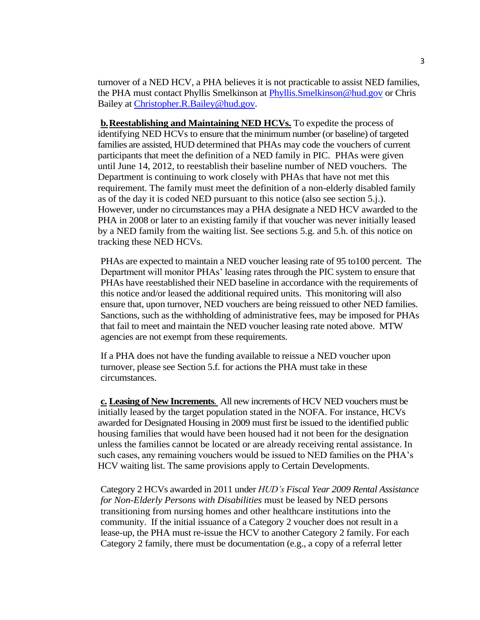turnover of a NED HCV, a PHA believes it is not practicable to assist NED families, the PHA must contact Phyllis Smelkinson at [Phyllis.Smelkinson@hud.gov](mailto:Phyllis.Smelkinson@hud.gov) or Chris Bailey at [Christopher.R.Bailey@hud.gov.](mailto:Christopher.R.Bailey@hud.gov)

**b.Reestablishing and Maintaining NED HCVs.** To expedite the process of identifying NED HCVs to ensure that the minimum number (or baseline) of targeted families are assisted, HUD determined that PHAs may code the vouchers of current participants that meet the definition of a NED family in PIC. PHAs were given until June 14, 2012, to reestablish their baseline number of NED vouchers. The Department is continuing to work closely with PHAs that have not met this requirement. The family must meet the definition of a non-elderly disabled family as of the day it is coded NED pursuant to this notice (also see section 5.j.). However, under no circumstances may a PHA designate a NED HCV awarded to the PHA in 2008 or later to an existing family if that voucher was never initially leased by a NED family from the waiting list. See sections 5.g. and 5.h. of this notice on tracking these NED HCVs.

PHAs are expected to maintain a NED voucher leasing rate of 95 to100 percent. The Department will monitor PHAs' leasing rates through the PIC system to ensure that PHAs have reestablished their NED baseline in accordance with the requirements of this notice and/or leased the additional required units. This monitoring will also ensure that, upon turnover, NED vouchers are being reissued to other NED families. Sanctions, such as the withholding of administrative fees, may be imposed for PHAs that fail to meet and maintain the NED voucher leasing rate noted above. MTW agencies are not exempt from these requirements.

If a PHA does not have the funding available to reissue a NED voucher upon turnover, please see Section 5.f. for actions the PHA must take in these circumstances.

**c. Leasing of New Increments**. All new increments of HCV NED vouchers must be initially leased by the target population stated in the NOFA. For instance, HCVs awarded for Designated Housing in 2009 must first be issued to the identified public housing families that would have been housed had it not been for the designation unless the families cannot be located or are already receiving rental assistance. In such cases, any remaining vouchers would be issued to NED families on the PHA's HCV waiting list. The same provisions apply to Certain Developments.

Category 2 HCVs awarded in 2011 under *HUD's Fiscal Year 2009 Rental Assistance for Non-Elderly Persons with Disabilities* must be leased by NED persons transitioning from nursing homes and other healthcare institutions into the community. If the initial issuance of a Category 2 voucher does not result in a lease-up, the PHA must re-issue the HCV to another Category 2 family. For each Category 2 family, there must be documentation (e.g., a copy of a referral letter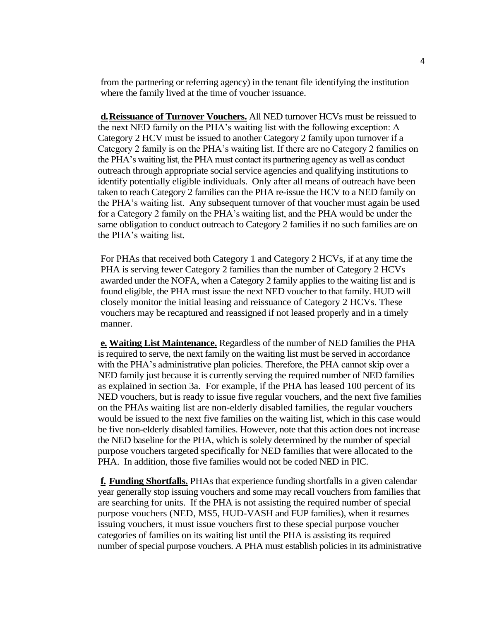from the partnering or referring agency) in the tenant file identifying the institution where the family lived at the time of voucher issuance.

**d.Reissuance of Turnover Vouchers.** All NED turnover HCVs must be reissued to the next NED family on the PHA's waiting list with the following exception: A Category 2 HCV must be issued to another Category 2 family upon turnover if a Category 2 family is on the PHA's waiting list. If there are no Category 2 families on the PHA's waiting list, the PHA must contact its partnering agency as well as conduct outreach through appropriate social service agencies and qualifying institutions to identify potentially eligible individuals. Only after all means of outreach have been taken to reach Category 2 families can the PHA re-issue the HCV to a NED family on the PHA's waiting list. Any subsequent turnover of that voucher must again be used for a Category 2 family on the PHA's waiting list, and the PHA would be under the same obligation to conduct outreach to Category 2 families if no such families are on the PHA's waiting list.

For PHAs that received both Category 1 and Category 2 HCVs, if at any time the PHA is serving fewer Category 2 families than the number of Category 2 HCVs awarded under the NOFA, when a Category 2 family applies to the waiting list and is found eligible, the PHA must issue the next NED voucher to that family. HUD will closely monitor the initial leasing and reissuance of Category 2 HCVs. These vouchers may be recaptured and reassigned if not leased properly and in a timely manner.

**e. Waiting List Maintenance.** Regardless of the number of NED families the PHA is required to serve, the next family on the waiting list must be served in accordance with the PHA's administrative plan policies. Therefore, the PHA cannot skip over a NED family just because it is currently serving the required number of NED families as explained in section 3a. For example, if the PHA has leased 100 percent of its NED vouchers, but is ready to issue five regular vouchers, and the next five families on the PHAs waiting list are non-elderly disabled families, the regular vouchers would be issued to the next five families on the waiting list, which in this case would be five non-elderly disabled families. However, note that this action does not increase the NED baseline for the PHA, which is solely determined by the number of special purpose vouchers targeted specifically for NED families that were allocated to the PHA. In addition, those five families would not be coded NED in PIC.

**f. Funding Shortfalls.** PHAs that experience funding shortfalls in a given calendar year generally stop issuing vouchers and some may recall vouchers from families that are searching for units. If the PHA is not assisting the required number of special purpose vouchers (NED, MS5, HUD-VASH and FUP families), when it resumes issuing vouchers, it must issue vouchers first to these special purpose voucher categories of families on its waiting list until the PHA is assisting its required number of special purpose vouchers. A PHA must establish policies in its administrative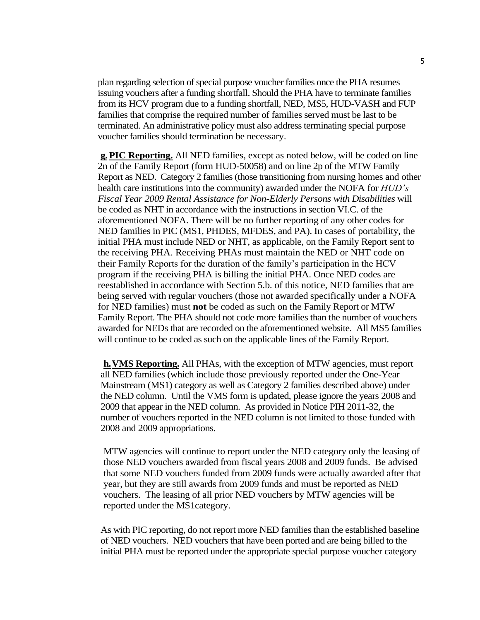plan regarding selection of special purpose voucher families once the PHA resumes issuing vouchers after a funding shortfall. Should the PHA have to terminate families from its HCV program due to a funding shortfall, NED, MS5, HUD-VASH and FUP families that comprise the required number of families served must be last to be terminated. An administrative policy must also address terminating special purpose voucher families should termination be necessary.

**g.PIC Reporting.** All NED families, except as noted below, will be coded on line 2n of the Family Report (form HUD-50058) and on line 2p of the MTW Family Report as NED. Category 2 families (those transitioning from nursing homes and other health care institutions into the community) awarded under the NOFA for *HUD's Fiscal Year 2009 Rental Assistance for Non-Elderly Persons with Disabilities* will be coded as NHT in accordance with the instructions in section VI.C. of the aforementioned NOFA. There will be no further reporting of any other codes for NED families in PIC (MS1, PHDES, MFDES, and PA). In cases of portability, the initial PHA must include NED or NHT, as applicable, on the Family Report sent to the receiving PHA. Receiving PHAs must maintain the NED or NHT code on their Family Reports for the duration of the family's participation in the HCV program if the receiving PHA is billing the initial PHA. Once NED codes are reestablished in accordance with Section 5.b. of this notice, NED families that are being served with regular vouchers (those not awarded specifically under a NOFA for NED families) must **not** be coded as such on the Family Report or MTW Family Report. The PHA should not code more families than the number of vouchers awarded for NEDs that are recorded on the aforementioned website. All MS5 families will continue to be coded as such on the applicable lines of the Family Report.

**h.VMS Reporting.** All PHAs, with the exception of MTW agencies, must report all NED families (which include those previously reported under the One-Year Mainstream (MS1) category as well as Category 2 families described above) under the NED column. Until the VMS form is updated, please ignore the years 2008 and 2009 that appear in the NED column. As provided in Notice PIH 2011-32, the number of vouchers reported in the NED column is not limited to those funded with 2008 and 2009 appropriations.

MTW agencies will continue to report under the NED category only the leasing of those NED vouchers awarded from fiscal years 2008 and 2009 funds. Be advised that some NED vouchers funded from 2009 funds were actually awarded after that year, but they are still awards from 2009 funds and must be reported as NED vouchers. The leasing of all prior NED vouchers by MTW agencies will be reported under the MS1category.

As with PIC reporting, do not report more NED families than the established baseline of NED vouchers. NED vouchers that have been ported and are being billed to the initial PHA must be reported under the appropriate special purpose voucher category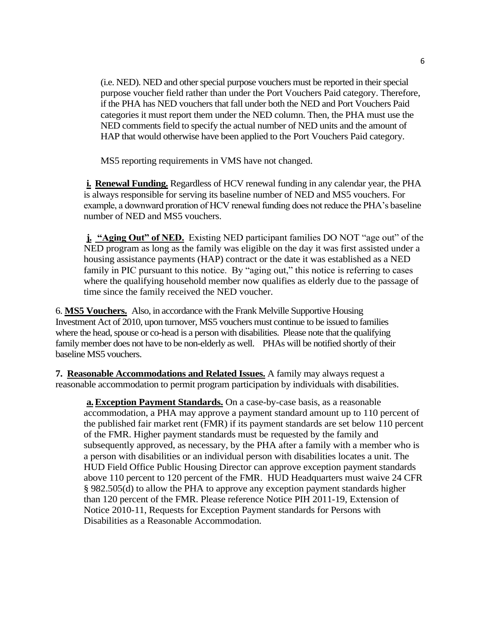(i.e. NED). NED and other special purpose vouchers must be reported in their special purpose voucher field rather than under the Port Vouchers Paid category. Therefore, if the PHA has NED vouchers that fall under both the NED and Port Vouchers Paid categories it must report them under the NED column. Then, the PHA must use the NED comments field to specify the actual number of NED units and the amount of HAP that would otherwise have been applied to the Port Vouchers Paid category.

MS5 reporting requirements in VMS have not changed.

**i. Renewal Funding.** Regardless of HCV renewal funding in any calendar year, the PHA is always responsible for serving its baseline number of NED and MS5 vouchers. For example, a downward proration of HCV renewal funding does not reduce the PHA's baseline number of NED and MS5 vouchers.

**j.** "Aging Out" of NED. Existing NED participant families DO NOT "age out" of the NED program as long as the family was eligible on the day it was first assisted under a housing assistance payments (HAP) contract or the date it was established as a NED family in PIC pursuant to this notice. By "aging out," this notice is referring to cases where the qualifying household member now qualifies as elderly due to the passage of time since the family received the NED voucher.

6. **MS5 Vouchers.** Also, in accordance with the Frank Melville Supportive Housing Investment Act of 2010, upon turnover, MS5 vouchers must continue to be issued to families where the head, spouse or co-head is a person with disabilities. Please note that the qualifying family member does not have to be non-elderly as well. PHAs will be notified shortly of their baseline MS5 vouchers.

**7. Reasonable Accommodations and Related Issues.** A family may always request a reasonable accommodation to permit program participation by individuals with disabilities.

**a.Exception Payment Standards.** On a case-by-case basis, as a reasonable accommodation, a PHA may approve a payment standard amount up to 110 percent of the published fair market rent (FMR) if its payment standards are set below 110 percent of the FMR. Higher payment standards must be requested by the family and subsequently approved, as necessary, by the PHA after a family with a member who is a person with disabilities or an individual person with disabilities locates a unit. The HUD Field Office Public Housing Director can approve exception payment standards above 110 percent to 120 percent of the FMR. HUD Headquarters must waive 24 CFR § 982.505(d) to allow the PHA to approve any exception payment standards higher than 120 percent of the FMR. Please reference Notice PIH 2011-19, Extension of Notice 2010-11, Requests for Exception Payment standards for Persons with Disabilities as a Reasonable Accommodation.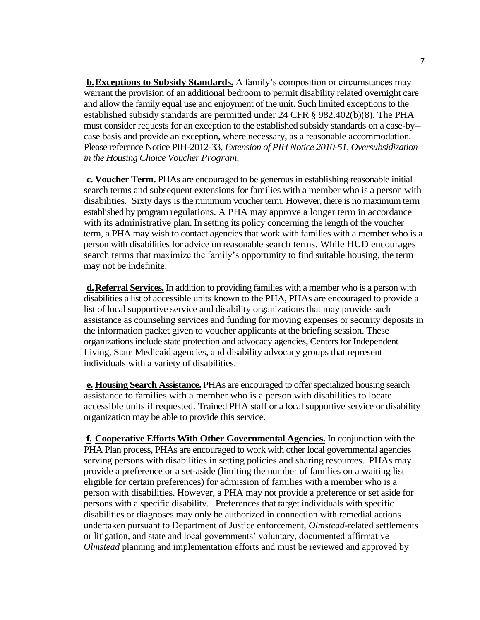**b.Exceptions to Subsidy Standards.** A family's composition or circumstances may warrant the provision of an additional bedroom to permit disability related overnight care and allow the family equal use and enjoyment of the unit. Such limited exceptions to the established subsidy standards are permitted under 24 CFR § 982.402(b)(8). The PHA must consider requests for an exception to the established subsidy standards on a case-by- case basis and provide an exception, where necessary, as a reasonable accommodation. Please reference Notice PIH-2012-33, *Extension of PIH Notice 2010-51, Oversubsidization in the Housing Choice Voucher Program.*

**c. Voucher Term.** PHAs are encouraged to be generous in establishing reasonable initial search terms and subsequent extensions for families with a member who is a person with disabilities. Sixty days is the minimum voucher term. However, there is no maximum term established by program regulations. A PHA may approve a longer term in accordance with its administrative plan. In setting its policy concerning the length of the voucher term, a PHA may wish to contact agencies that work with families with a member who is a person with disabilities for advice on reasonable search terms. While HUD encourages search terms that maximize the family's opportunity to find suitable housing, the term may not be indefinite.

**d.Referral Services.** In addition to providing families with a member who is a person with disabilities a list of accessible units known to the PHA, PHAs are encouraged to provide a list of local supportive service and disability organizations that may provide such assistance as counseling services and funding for moving expenses or security deposits in the information packet given to voucher applicants at the briefing session. These organizations include state protection and advocacy agencies, Centers for Independent Living, State Medicaid agencies, and disability advocacy groups that represent individuals with a variety of disabilities.

**e. Housing Search Assistance.** PHAs are encouraged to offer specialized housing search assistance to families with a member who is a person with disabilities to locate accessible units if requested. Trained PHA staff or a local supportive service or disability organization may be able to provide this service.

**f. Cooperative Efforts With Other Governmental Agencies.** In conjunction with the PHA Plan process, PHAs are encouraged to work with other local governmental agencies serving persons with disabilities in setting policies and sharing resources. PHAs may provide a preference or a set-aside (limiting the number of families on a waiting list eligible for certain preferences) for admission of families with a member who is a person with disabilities. However, a PHA may not provide a preference or set aside for persons with a specific disability. Preferences that target individuals with specific disabilities or diagnoses may only be authorized in connection with remedial actions undertaken pursuant to Department of Justice enforcement, *Olmstead*-related settlements or litigation, and state and local governments' voluntary, documented affirmative *Olmstead* planning and implementation efforts and must be reviewed and approved by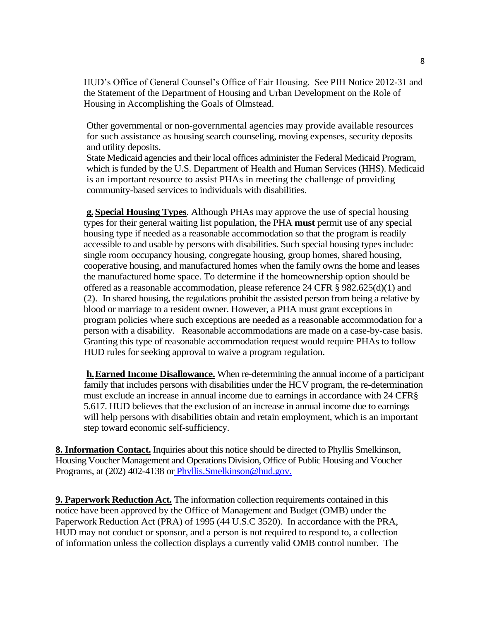HUD's Office of General Counsel's Office of Fair Housing. See PIH Notice 2012-31 and the Statement of the Department of Housing and Urban Development on the Role of Housing in Accomplishing the Goals of Olmstead.

Other governmental or non-governmental agencies may provide available resources for such assistance as housing search counseling, moving expenses, security deposits and utility deposits.

State Medicaid agencies and their local offices administer the Federal Medicaid Program, which is funded by the U.S. Department of Health and Human Services (HHS). Medicaid is an important resource to assist PHAs in meeting the challenge of providing community-based services to individuals with disabilities.

**g. Special Housing Types**. Although PHAs may approve the use of special housing types for their general waiting list population, the PHA **must** permit use of any special housing type if needed as a reasonable accommodation so that the program is readily accessible to and usable by persons with disabilities. Such special housing types include: single room occupancy housing, congregate housing, group homes, shared housing, cooperative housing, and manufactured homes when the family owns the home and leases the manufactured home space. To determine if the homeownership option should be offered as a reasonable accommodation, please reference 24 CFR § 982.625(d)(1) and (2). In shared housing, the regulations prohibit the assisted person from being a relative by blood or marriage to a resident owner. However, a PHA must grant exceptions in program policies where such exceptions are needed as a reasonable accommodation for a person with a disability. Reasonable accommodations are made on a case-by-case basis. Granting this type of reasonable accommodation request would require PHAs to follow HUD rules for seeking approval to waive a program regulation.

**h.Earned Income Disallowance.** When re-determining the annual income of a participant family that includes persons with disabilities under the HCV program, the re-determination must exclude an increase in annual income due to earnings in accordance with 24 CFR§ 5.617. HUD believes that the exclusion of an increase in annual income due to earnings will help persons with disabilities obtain and retain employment, which is an important step toward economic self-sufficiency.

**8. Information Contact.** Inquiries about this notice should be directed to Phyllis Smelkinson, Housing Voucher Management and Operations Division, Office of Public Housing and Voucher Programs, at (202) 402-4138 or [Phyllis.Smelkinson@hud.gov.](mailto:Phyllis.Smelkinson@hud.gov)

**9. Paperwork Reduction Act.** The information collection requirements contained in this notice have been approved by the Office of Management and Budget (OMB) under the Paperwork Reduction Act (PRA) of 1995 (44 U.S.C 3520). In accordance with the PRA, HUD may not conduct or sponsor, and a person is not required to respond to, a collection of information unless the collection displays a currently valid OMB control number. The